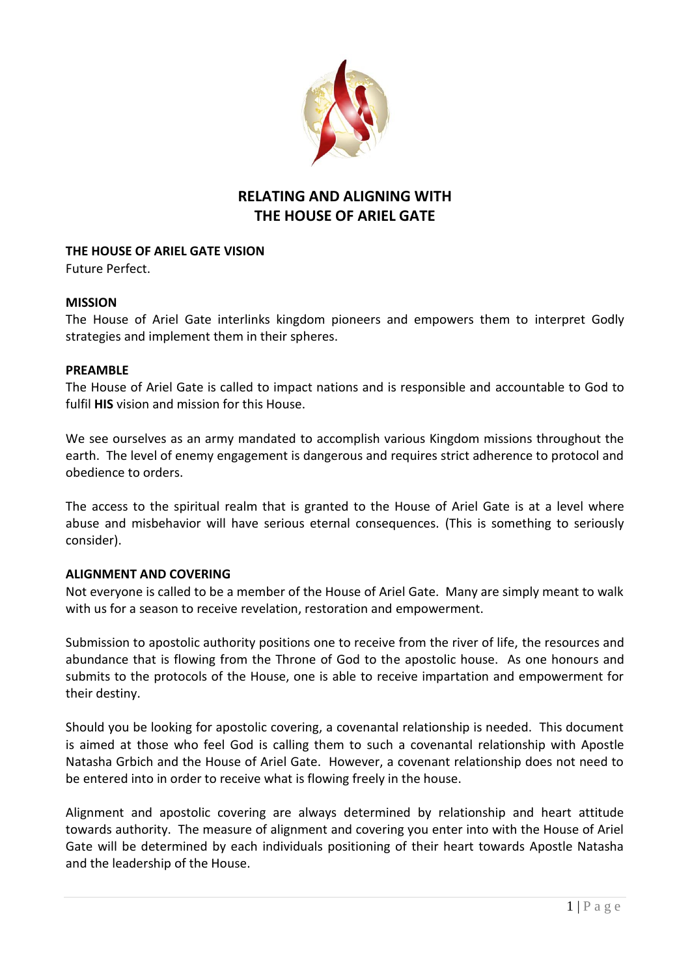

# **RELATING AND ALIGNING WITH THE HOUSE OF ARIEL GATE**

## **THE HOUSE OF ARIEL GATE VISION**

Future Perfect.

## **MISSION**

The House of Ariel Gate interlinks kingdom pioneers and empowers them to interpret Godly strategies and implement them in their spheres.

### **PREAMBLE**

The House of Ariel Gate is called to impact nations and is responsible and accountable to God to fulfil **HIS** vision and mission for this House.

We see ourselves as an army mandated to accomplish various Kingdom missions throughout the earth. The level of enemy engagement is dangerous and requires strict adherence to protocol and obedience to orders.

The access to the spiritual realm that is granted to the House of Ariel Gate is at a level where abuse and misbehavior will have serious eternal consequences. (This is something to seriously consider).

### **ALIGNMENT AND COVERING**

Not everyone is called to be a member of the House of Ariel Gate. Many are simply meant to walk with us for a season to receive revelation, restoration and empowerment.

Submission to apostolic authority positions one to receive from the river of life, the resources and abundance that is flowing from the Throne of God to the apostolic house. As one honours and submits to the protocols of the House, one is able to receive impartation and empowerment for their destiny.

Should you be looking for apostolic covering, a covenantal relationship is needed. This document is aimed at those who feel God is calling them to such a covenantal relationship with Apostle Natasha Grbich and the House of Ariel Gate. However, a covenant relationship does not need to be entered into in order to receive what is flowing freely in the house.

Alignment and apostolic covering are always determined by relationship and heart attitude towards authority. The measure of alignment and covering you enter into with the House of Ariel Gate will be determined by each individuals positioning of their heart towards Apostle Natasha and the leadership of the House.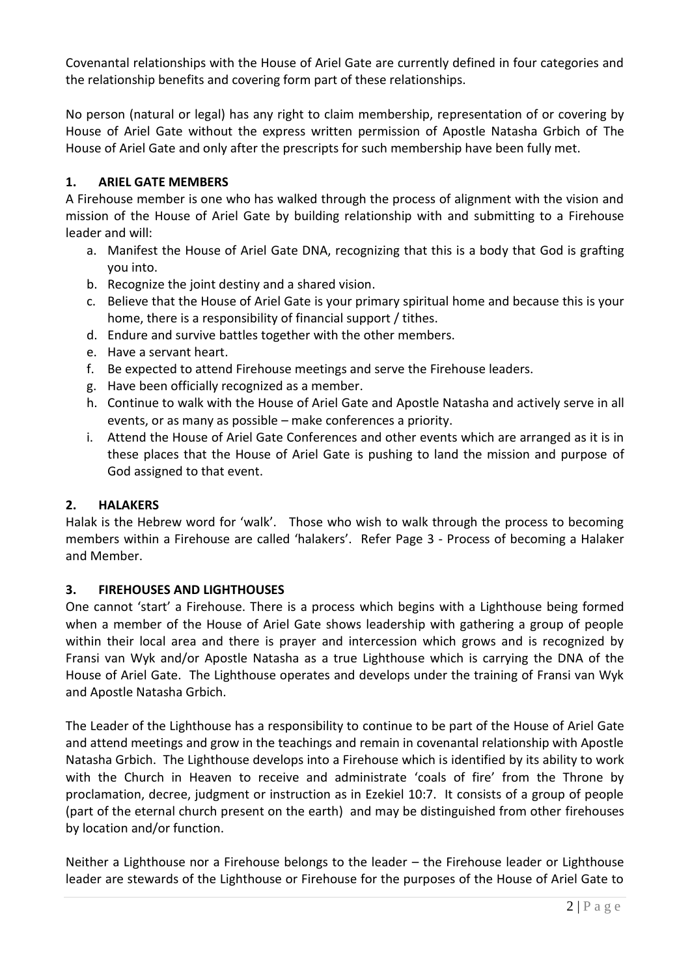Covenantal relationships with the House of Ariel Gate are currently defined in four categories and the relationship benefits and covering form part of these relationships.

No person (natural or legal) has any right to claim membership, representation of or covering by House of Ariel Gate without the express written permission of Apostle Natasha Grbich of The House of Ariel Gate and only after the prescripts for such membership have been fully met.

# **1. ARIEL GATE MEMBERS**

A Firehouse member is one who has walked through the process of alignment with the vision and mission of the House of Ariel Gate by building relationship with and submitting to a Firehouse leader and will:

- a. Manifest the House of Ariel Gate DNA, recognizing that this is a body that God is grafting you into.
- b. Recognize the joint destiny and a shared vision.
- c. Believe that the House of Ariel Gate is your primary spiritual home and because this is your home, there is a responsibility of financial support / tithes.
- d. Endure and survive battles together with the other members.
- e. Have a servant heart.
- f. Be expected to attend Firehouse meetings and serve the Firehouse leaders.
- g. Have been officially recognized as a member.
- h. Continue to walk with the House of Ariel Gate and Apostle Natasha and actively serve in all events, or as many as possible – make conferences a priority.
- i. Attend the House of Ariel Gate Conferences and other events which are arranged as it is in these places that the House of Ariel Gate is pushing to land the mission and purpose of God assigned to that event.

# **2. HALAKERS**

Halak is the Hebrew word for 'walk'. Those who wish to walk through the process to becoming members within a Firehouse are called 'halakers'. Refer Page 3 - Process of becoming a Halaker and Member.

# **3. FIREHOUSES AND LIGHTHOUSES**

One cannot 'start' a Firehouse. There is a process which begins with a Lighthouse being formed when a member of the House of Ariel Gate shows leadership with gathering a group of people within their local area and there is prayer and intercession which grows and is recognized by Fransi van Wyk and/or Apostle Natasha as a true Lighthouse which is carrying the DNA of the House of Ariel Gate. The Lighthouse operates and develops under the training of Fransi van Wyk and Apostle Natasha Grbich.

The Leader of the Lighthouse has a responsibility to continue to be part of the House of Ariel Gate and attend meetings and grow in the teachings and remain in covenantal relationship with Apostle Natasha Grbich. The Lighthouse develops into a Firehouse which is identified by its ability to work with the Church in Heaven to receive and administrate 'coals of fire' from the Throne by proclamation, decree, judgment or instruction as in Ezekiel 10:7. It consists of a group of people (part of the eternal church present on the earth) and may be distinguished from other firehouses by location and/or function.

Neither a Lighthouse nor a Firehouse belongs to the leader – the Firehouse leader or Lighthouse leader are stewards of the Lighthouse or Firehouse for the purposes of the House of Ariel Gate to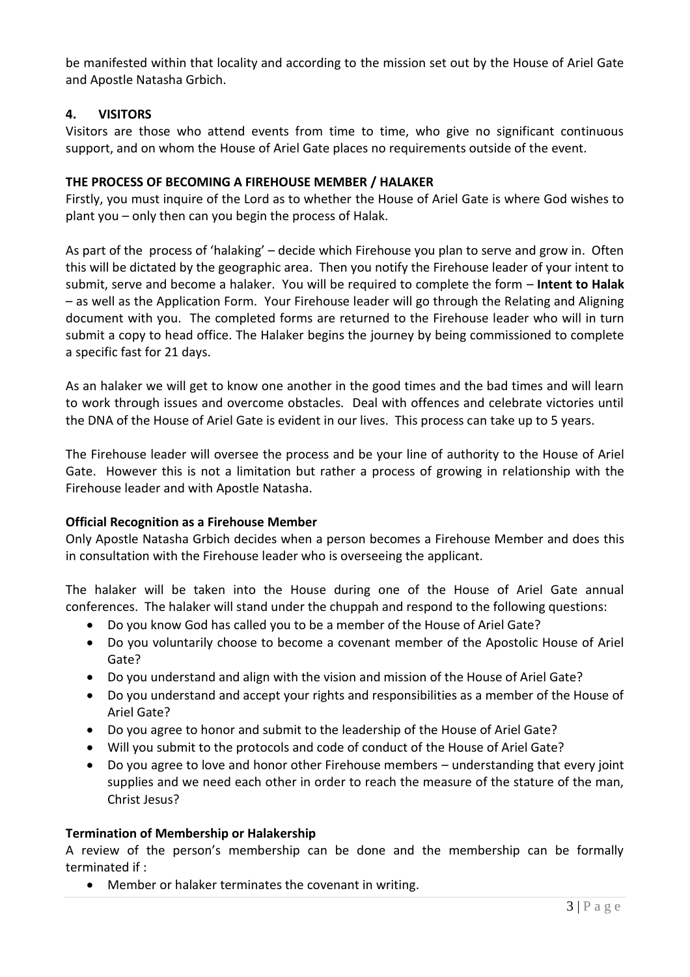be manifested within that locality and according to the mission set out by the House of Ariel Gate and Apostle Natasha Grbich.

# **4. VISITORS**

Visitors are those who attend events from time to time, who give no significant continuous support, and on whom the House of Ariel Gate places no requirements outside of the event.

### **THE PROCESS OF BECOMING A FIREHOUSE MEMBER / HALAKER**

Firstly, you must inquire of the Lord as to whether the House of Ariel Gate is where God wishes to plant you – only then can you begin the process of Halak.

As part of the process of 'halaking' – decide which Firehouse you plan to serve and grow in. Often this will be dictated by the geographic area. Then you notify the Firehouse leader of your intent to submit, serve and become a halaker. You will be required to complete the form – **Intent to Halak** – as well as the Application Form. Your Firehouse leader will go through the Relating and Aligning document with you. The completed forms are returned to the Firehouse leader who will in turn submit a copy to head office. The Halaker begins the journey by being commissioned to complete a specific fast for 21 days.

As an halaker we will get to know one another in the good times and the bad times and will learn to work through issues and overcome obstacles. Deal with offences and celebrate victories until the DNA of the House of Ariel Gate is evident in our lives. This process can take up to 5 years.

The Firehouse leader will oversee the process and be your line of authority to the House of Ariel Gate. However this is not a limitation but rather a process of growing in relationship with the Firehouse leader and with Apostle Natasha.

### **Official Recognition as a Firehouse Member**

Only Apostle Natasha Grbich decides when a person becomes a Firehouse Member and does this in consultation with the Firehouse leader who is overseeing the applicant.

The halaker will be taken into the House during one of the House of Ariel Gate annual conferences. The halaker will stand under the chuppah and respond to the following questions:

- Do you know God has called you to be a member of the House of Ariel Gate?
- Do you voluntarily choose to become a covenant member of the Apostolic House of Ariel Gate?
- Do you understand and align with the vision and mission of the House of Ariel Gate?
- Do you understand and accept your rights and responsibilities as a member of the House of Ariel Gate?
- Do you agree to honor and submit to the leadership of the House of Ariel Gate?
- Will you submit to the protocols and code of conduct of the House of Ariel Gate?
- Do you agree to love and honor other Firehouse members understanding that every joint supplies and we need each other in order to reach the measure of the stature of the man, Christ Jesus?

### **Termination of Membership or Halakership**

A review of the person's membership can be done and the membership can be formally terminated if :

Member or halaker terminates the covenant in writing.